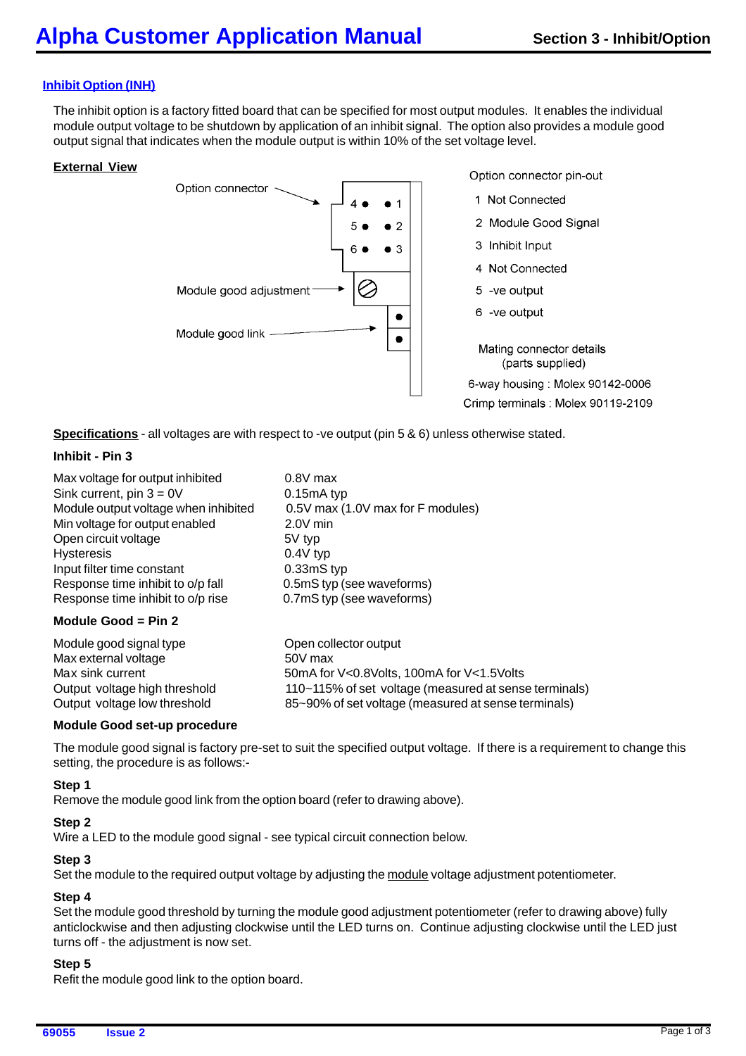# **Inhibit Option (INH)**

The inhibit option is a factory fitted board that can be specified for most output modules. It enables the individual module output voltage to be shutdown by application of an inhibit signal. The option also provides a module good output signal that indicates when the module output is within 10% of the set voltage level.

### **External View**



**Specifications** - all voltages are with respect to -ve output (pin 5 & 6) unless otherwise stated.

### **Inhibit - Pin 3**

| Max voltage for output inhibited     | $0.8V$ max                                            |
|--------------------------------------|-------------------------------------------------------|
| Sink current, pin $3 = 0V$           | $0.15mA$ typ                                          |
| Module output voltage when inhibited | 0.5V max (1.0V max for F modules)                     |
| Min voltage for output enabled       | $2.0V$ min                                            |
| Open circuit voltage                 | 5V typ                                                |
| <b>Hysteresis</b>                    | $0.4V$ typ                                            |
| Input filter time constant           | 0.33mS typ                                            |
| Response time inhibit to o/p fall    | 0.5mS typ (see waveforms)                             |
| Response time inhibit to o/p rise    | 0.7mS typ (see waveforms)                             |
| Module Good = $Pin 2$                |                                                       |
| Module good signal type              | Open collector output                                 |
| Max external voltage                 | 50V max                                               |
| Max sink current                     | 50mA for V<0.8Volts, 100mA for V<1.5Volts             |
| Output voltage high threshold        | 110~115% of set voltage (measured at sense terminals) |

Output voltage low threshold 85~90% of set voltage (measured at sense terminals)

#### **Module Good set-up procedure**

The module good signal is factory pre-set to suit the specified output voltage. If there is a requirement to change this setting, the procedure is as follows:-

## **Step 1**

Remove the module good link from the option board (refer to drawing above).

#### **Step 2**

Wire a LED to the module good signal - see typical circuit connection below.

#### **Step 3**

Set the module to the required output voltage by adjusting the module voltage adjustment potentiometer.

#### **Step 4**

Set the module good threshold by turning the module good adjustment potentiometer (refer to drawing above) fully anticlockwise and then adjusting clockwise until the LED turns on. Continue adjusting clockwise until the LED just turns off - the adjustment is now set.

## **Step 5**

Refit the module good link to the option board.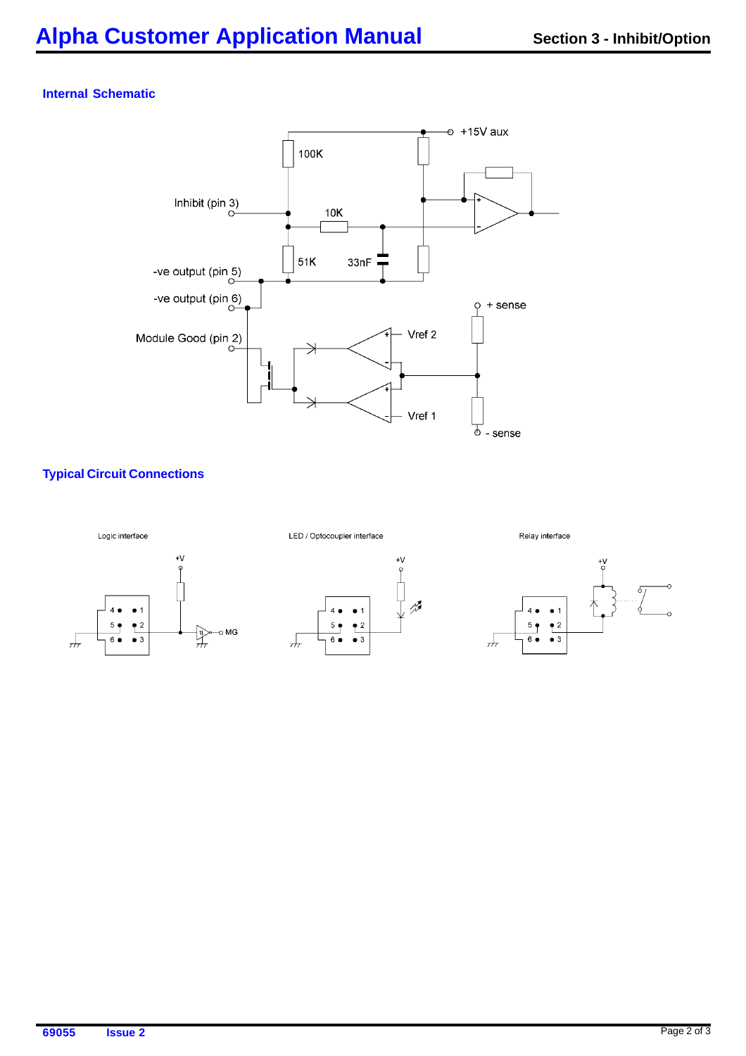## **Internal Schematic**



# **Typical Circuit Connections**